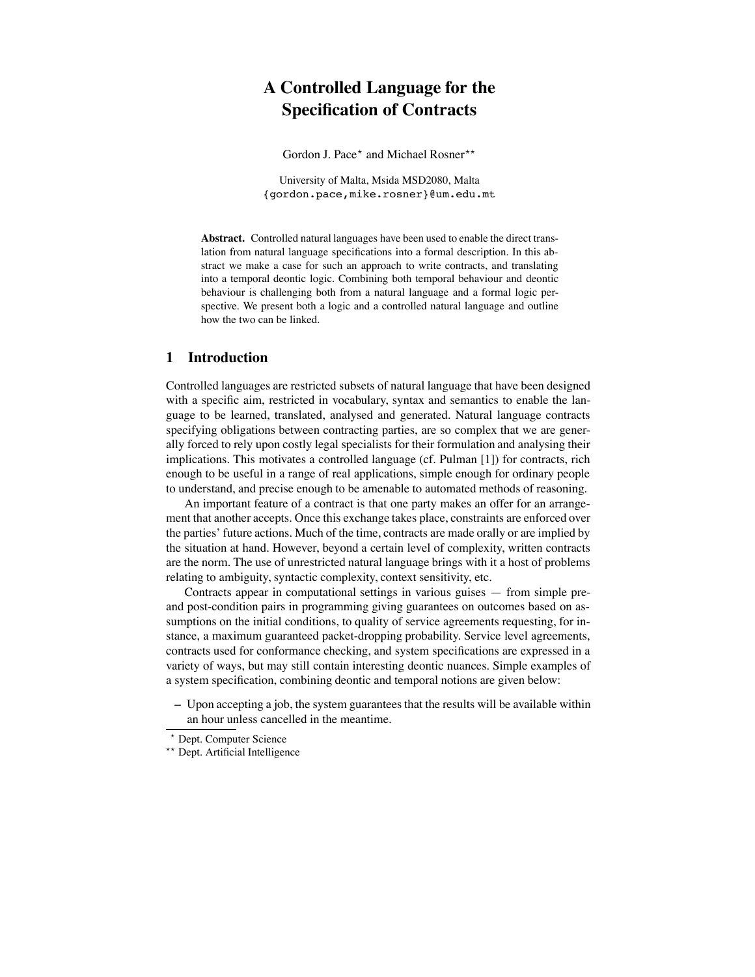# **A Controlled Language for the Specification of Contracts**

Gordon J. Pace\* and Michael Rosner\*\*

University of Malta, Msida MSD2080, Malta {gordon.pace,mike.rosner}@um.edu.mt

**Abstract.** Controlled natural languages have been used to enable the direct translation from natural language specifications into a formal description. In this abstract we make a case for such an approach to write contracts, and translating into a temporal deontic logic. Combining both temporal behaviour and deontic behaviour is challenging both from a natural language and a formal logic perspective. We present both a logic and a controlled natural language and outline how the two can be linked.

#### **1 Introduction**

Controlled languages are restricted subsets of natural language that have been designed with a specific aim, restricted in vocabulary, syntax and semantics to enable the language to be learned, translated, analysed and generated. Natural language contracts specifying obligations between contracting parties, are so complex that we are generally forced to rely upon costly legal specialists for their formulation and analysing their implications. This motivates a controlled language (cf. Pulman [1]) for contracts, rich enough to be useful in a range of real applications, simple enough for ordinary people to understand, and precise enough to be amenable to automated methods of reasoning.

An important feature of a contract is that one party makes an offer for an arrangement that another accepts. Once this exchange takes place, constraints are enforced over the parties' future actions. Much of the time, contracts are made orally or are implied by the situation at hand. However, beyond a certain level of complexity, written contracts are the norm. The use of unrestricted natural language brings with it a host of problems relating to ambiguity, syntactic complexity, context sensitivity, etc.

Contracts appear in computational settings in various guises — from simple preand post-condition pairs in programming giving guarantees on outcomes based on assumptions on the initial conditions, to quality of service agreements requesting, for instance, a maximum guaranteed packet-dropping probability. Service level agreements, contracts used for conformance checking, and system specifications are expressed in a variety of ways, but may still contain interesting deontic nuances. Simple examples of a system specification, combining deontic and temporal notions are given below:

**–** Upon accepting a job, the system guaranteesthat the results will be available within an hour unless cancelled in the meantime.

<sup>\*</sup> Dept. Computer Science

<sup>\*\*</sup> Dept. Artificial Intelligence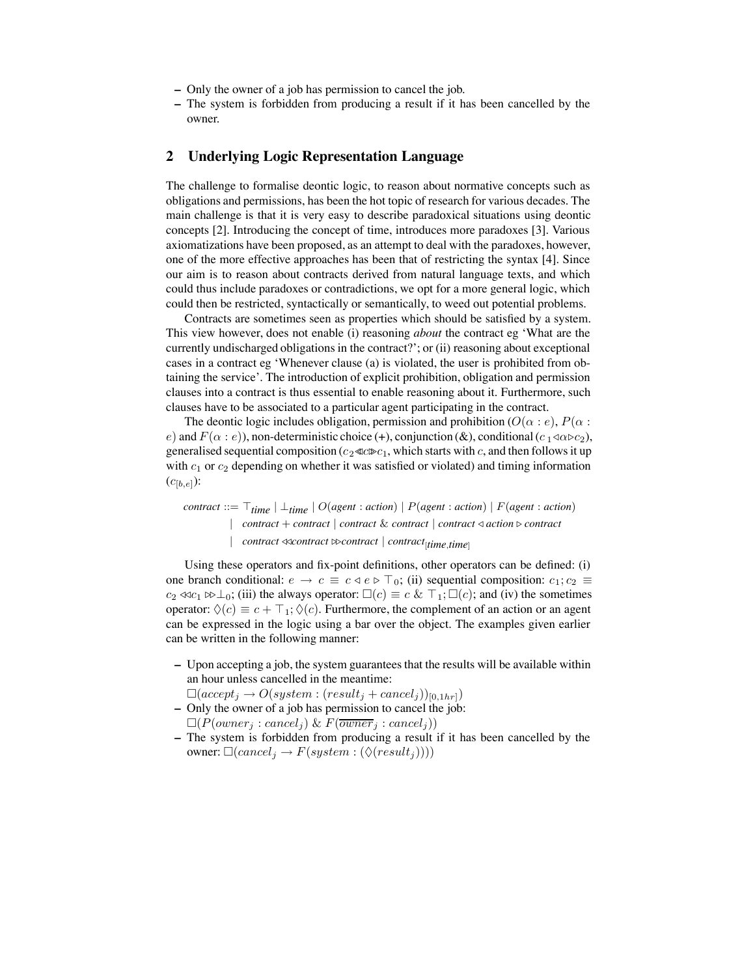- **–** Only the owner of a job has permission to cancel the job.
- **–** The system is forbidden from producing a result if it has been cancelled by the owner.

### **2 Underlying Logic Representation Language**

The challenge to formalise deontic logic, to reason about normative concepts such as obligations and permissions, has been the hot topic of research for various decades. The main challenge is that it is very easy to describe paradoxical situations using deontic concepts [2]. Introducing the concept of time, introduces more paradoxes [3]. Various axiomatizations have been proposed, as an attempt to deal with the paradoxes, however, one of the more effective approaches has been that of restricting the syntax [4]. Since our aim is to reason about contracts derived from natural language texts, and which could thus include paradoxes or contradictions, we opt for a more general logic, which could then be restricted, syntactically or semantically, to weed out potential problems.

Contracts are sometimes seen as properties which should be satisfied by a system. This view however, does not enable (i) reasoning *about* the contract eg 'What are the currently undischarged obligations in the contract?'; or (ii) reasoning about exceptional cases in a contract eg 'Whenever clause (a) is violated, the user is prohibited from obtaining the service'. The introduction of explicit prohibition, obligation and permission clauses into a contract is thus essential to enable reasoning about it. Furthermore, such clauses have to be associated to a particular agent participating in the contract.

The deontic logic includes obligation, permission and prohibition  $(O(\alpha : e), P(\alpha : e))$ e) and  $F(\alpha : e)$ , non-deterministic choice (+), conjunction (&), conditional (c  $_1 \triangleleft \alpha \triangleright c_2$ ), generalised sequential composition ( $c_2 \lll c \gg c_1$ , which starts with c, and then follows it up with  $c_1$  or  $c_2$  depending on whether it was satisfied or violated) and timing information  $(c_{[b,e]})$ :

*contract* ::=  $\top$ <sub>*time*</sub> | ⊥*time* | O(*agent* : *action*) | P(*agent* : *action*) | F(*agent* : *action*) | *contract* + *contract* | *contract* & *contract* | *contract* ! *action* " *contract* | *contract* !!*contract* ""*contract* | *contract*[*time*,*time*]

Using these operators and fix-point definitions, other operators can be defined: (i) one branch conditional:  $e \to c \equiv c \triangleleft e \triangleright \top_0$ ; (ii) sequential composition:  $c_1$ ;  $c_2 \equiv$  $c_2 \ll c_1 \gg \perp_0$ ; (iii) the always operator:  $\square(c) \equiv c \& \top_1; \square(c)$ ; and (iv) the sometimes operator:  $\Diamond(c) \equiv c + \top_1$ ;  $\Diamond(c)$ . Furthermore, the complement of an action or an agent can be expressed in the logic using a bar over the object. The examples given earlier can be written in the following manner:

- **–** Upon accepting a job, the system guaranteesthat the results will be available within an hour unless cancelled in the meantime:
- $\Box (accept_j \rightarrow O(system : (result_j + cancel_j))_{[0,1hr]})$
- **–** Only the owner of a job has permission to cancel the job:  $\Box(P(owner_j:cancel_j) \& F(\overline{owner}_j:cancel_j))$
- **–** The system is forbidden from producing a result if it has been cancelled by the owner:  $\Box (cancel_j \rightarrow F(system : (\Diamond (result_j))))$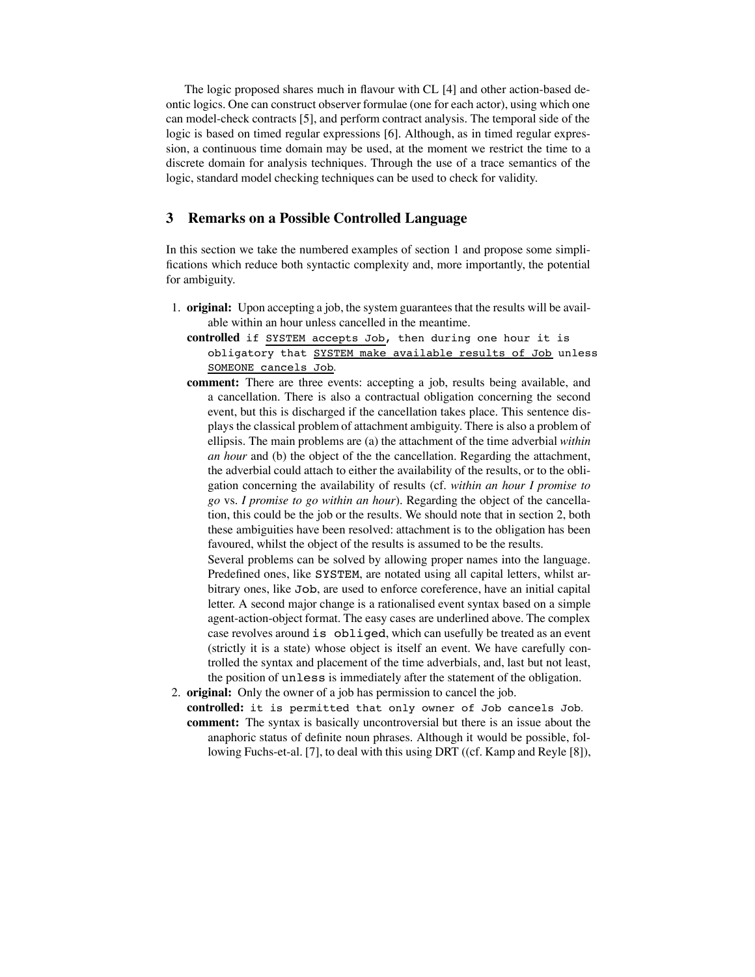The logic proposed shares much in flavour with  $CL$  [4] and other action-based deontic logics. One can construct observer formulae (one for each actor), using which one can model-check contracts [5], and perform contract analysis. The temporal side of the logic is based on timed regular expressions [6]. Although, as in timed regular expression, a continuous time domain may be used, at the moment we restrict the time to a discrete domain for analysis techniques. Through the use of a trace semantics of the logic, standard model checking techniques can be used to check for validity.

## **3 Remarks on a Possible Controlled Language**

In this section we take the numbered examples of section 1 and propose some simpli fications which reduce both syntactic complexity and, more importantly, the potential for ambiguity.

- 1. **original:** Upon accepting a job, the system guaranteesthat the results will be available within an hour unless cancelled in the meantime.
	- **controlled** if SYSTEM accepts Job, then during one hour it is obligatory that SYSTEM make available results of Job unless SOMEONE cancels Job.
	- **comment:** There are three events: accepting a job, results being available, and a cancellation. There is also a contractual obligation concerning the second event, but this is discharged if the cancellation takes place. This sentence displays the classical problem of attachment ambiguity. There is also a problem of ellipsis. The main problems are (a) the attachment of the time adverbial *within an hour* and (b) the object of the the cancellation. Regarding the attachment, the adverbial could attach to either the availability of the results, or to the obligation concerning the availability of results (cf. *within an hour I promise to go* vs. *I promise to go within an hour*). Regarding the object of the cancellation, this could be the job or the results. We should note that in section 2, both these ambiguities have been resolved: attachment is to the obligation has been favoured, whilst the object of the results is assumed to be the results.

Several problems can be solved by allowing proper names into the language. Predefined ones, like SYSTEM, are notated using all capital letters, whilst arbitrary ones, like Job, are used to enforce coreference, have an initial capital letter. A second major change is a rationalised event syntax based on a simple agent-action-object format. The easy cases are underlined above. The complex case revolves around is obliged, which can usefully be treated as an event (strictly it is a state) whose object is itself an event. We have carefully controlled the syntax and placement of the time adverbials, and, last but not least, the position of unless is immediately after the statement of the obligation.

- 2. **original:** Only the owner of a job has permission to cancel the job.
	- **controlled:** it is permitted that only owner of Job cancels Job. **comment:** The syntax is basically uncontroversial but there is an issue about the anaphoric status of definite noun phrases. Although it would be possible, following Fuchs-et-al. [7], to deal with this using DRT ((cf. Kamp and Reyle [8]),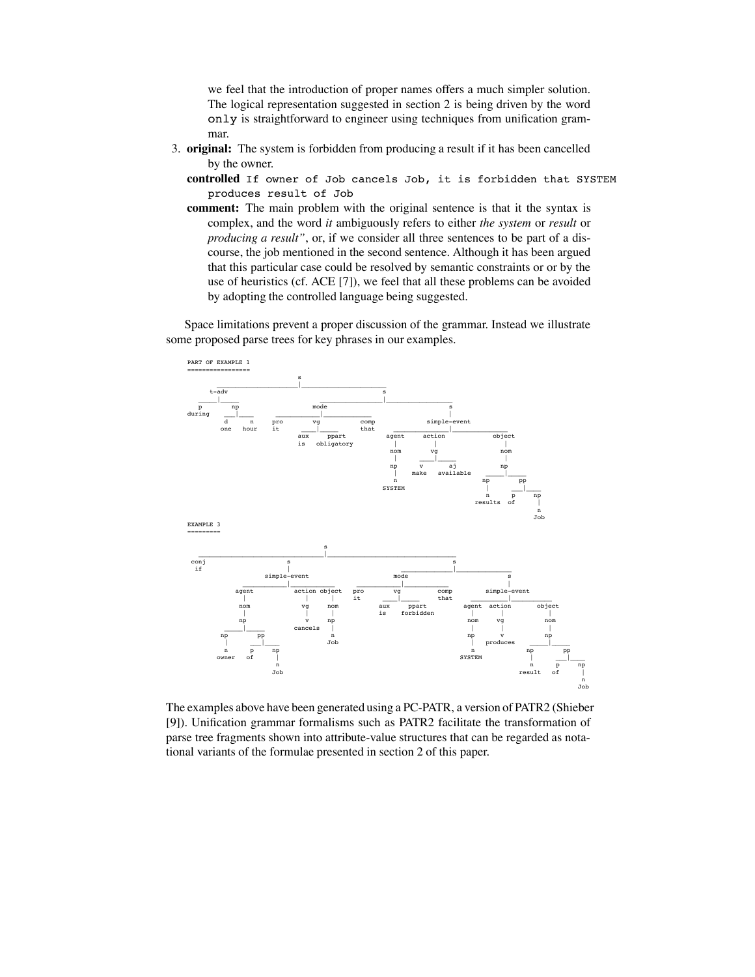we feel that the introduction of proper names offers a much simpler solution. The logical representation suggested in section 2 is being driven by the word only is straightforward to engineer using techniques from unification grammar.

- 3. **original:** The system is forbidden from producing a result if it has been cancelled by the owner.
	- **controlled** If owner of Job cancels Job, it is forbidden that SYSTEM produces result of Job
	- **comment:** The main problem with the original sentence is that it the syntax is complex, and the word *it* ambiguously refers to either *the system* or *result* or *producing a result"*, or, if we consider all three sentences to be part of a discourse, the job mentioned in the second sentence. Although it has been argued that this particular case could be resolved by semantic constraints or or by the use of heuristics (cf. ACE [7]), we feel that all these problems can be avoided by adopting the controlled language being suggested.

Space limitations prevent a proper discussion of the grammar. Instead we illustrate some proposed parse trees for key phrases in our examples.



The examples above have been generated using a PC-PATR, a version of PATR2 (Shieber [9]). Unification grammar formalisms such as PATR2 facilitate the transformation of parse tree fragments shown into attribute-value structures that can be regarded as notational variants of the formulae presented in section 2 of this paper.